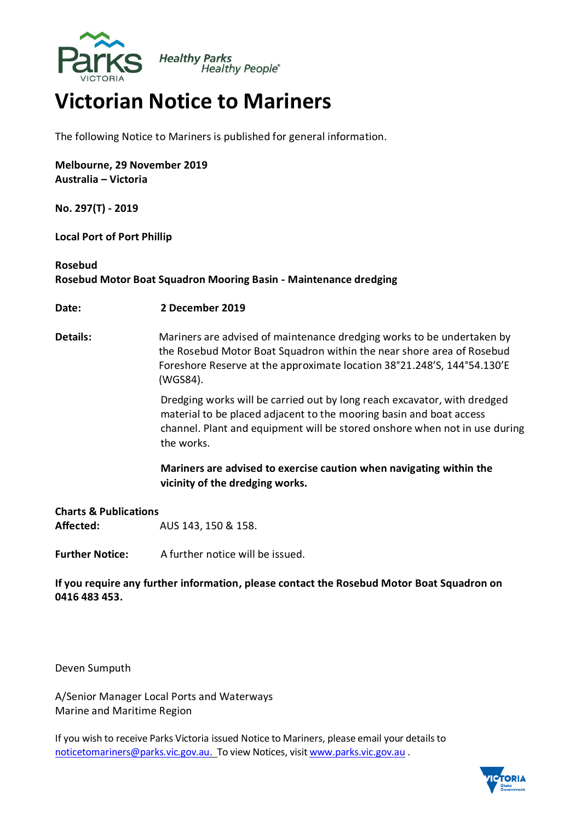

## **Victorian Notice to Mariners**

The following Notice to Mariners is published for general information.

**Melbourne, 29 November 2019 Australia – Victoria**

**No. 297(T) - 2019**

**Local Port of Port Phillip**

## **Rosebud**

**Rosebud Motor Boat Squadron Mooring Basin - Maintenance dredging**

**Date: 2 December 2019**

**Details:** Mariners are advised of maintenance dredging works to be undertaken by the Rosebud Motor Boat Squadron within the near shore area of Rosebud Foreshore Reserve at the approximate location 38°21.248'S, 144°54.130'E (WGS84).

> Dredging works will be carried out by long reach excavator, with dredged material to be placed adjacent to the mooring basin and boat access channel. Plant and equipment will be stored onshore when not in use during the works.

**Mariners are advised to exercise caution when navigating within the vicinity of the dredging works.**

## **Charts & Publications Affected:** AUS 143, 150 & 158.

**Further Notice:** A further notice will be issued.

**If you require any further information, please contact the Rosebud Motor Boat Squadron on 0416 483 453.**

Deven Sumputh

A/Senior Manager Local Ports and Waterways Marine and Maritime Region

If you wish to receive Parks Victoria issued Notice to Mariners, please email your detailsto [noticetomariners@parks.vic.gov.au.](mailto:noticetomariners@parks.vic.gov.au) To view Notices, visit [www.parks.vic.gov.au](http://www.parks.vic.gov.au/) .